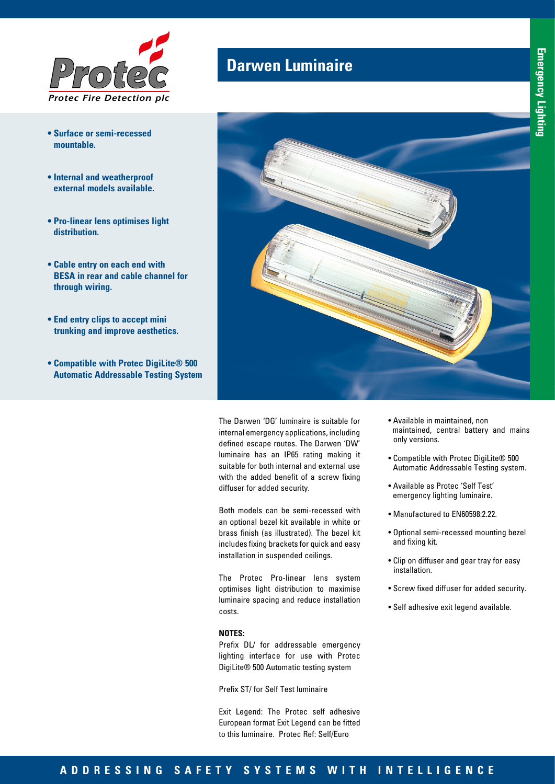

- **Surface or semi-recessed mountable.**
- **Internal and weatherproof external models available.**
- **Pro-linear lens optimises light distribution.**
- **Cable entry on each end with BESA in rear and cable channel for through wiring.**
- **End entry clips to accept mini trunking and improve aesthetics.**
- **Compatible with Protec DigiLite® 500 Automatic Addressable Testing System**

## **Darwen Luminaire**



The Darwen 'DG' luminaire is suitable for internal emergency applications, including defined escape routes. The Darwen 'DW' luminaire has an IP65 rating making it suitable for both internal and external use with the added benefit of a screw fixing diffuser for added security.

Both models can be semi-recessed with an optional bezel kit available in white or brass finish (as illustrated). The bezel kit includes fixing brackets for quick and easy installation in suspended ceilings.

The Protec Pro-linear lens system optimises light distribution to maximise luminaire spacing and reduce installation costs.

## **NOTES:**

Prefix DL/ for addressable emergency lighting interface for use with Protec DigiLite® 500 Automatic testing system

Prefix ST/ for Self Test luminaire

Exit Legend: The Protec self adhesive European format Exit Legend can be fitted to this luminaire. Protec Ref: Self/Euro

- Available in maintained, non maintained, central battery and mains only versions.
- Compatible with Protec DigiLite® 500 Automatic Addressable Testing system.
- Available as Protec 'Self Test' emergency lighting luminaire.
- Manufactured to EN60598:2.22.
- Optional semi-recessed mounting bezel and fixing kit.
- Clip on diffuser and gear tray for easy installation.
- Screw fixed diffuser for added security.
- Self adhesive exit legend available.